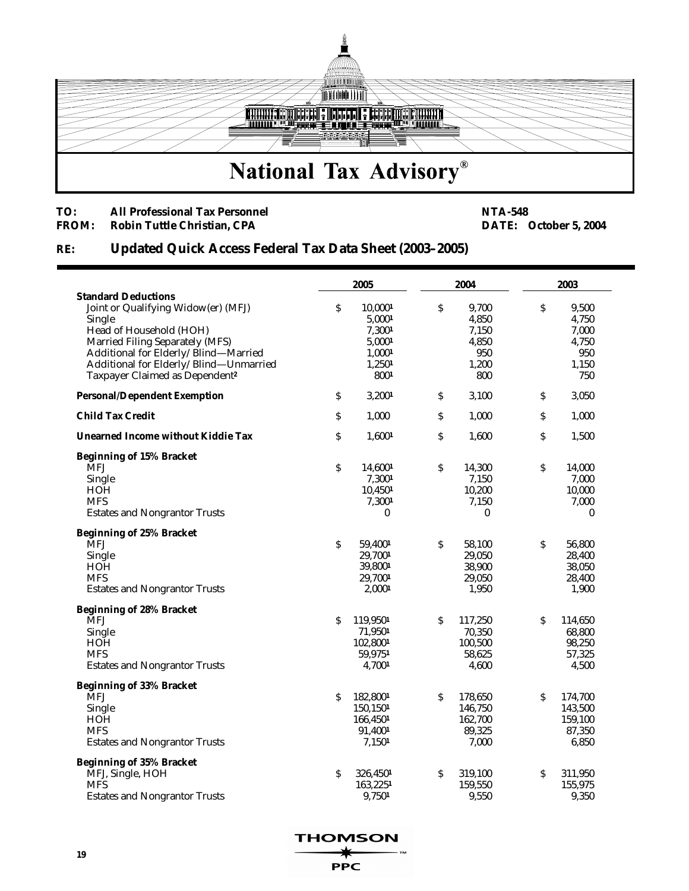

## **TO:** All Professional Tax Personnel **NTA-548 NTA-548 PROM:** Robin Tuttle Christian, CPA

**FROM:** October 5, 2004

## **RE: Updated Quick Access Federal Tax Data Sheet (2003–2005)**

|                                            | 2005 |          | 2004 |         | 2003        |                  |
|--------------------------------------------|------|----------|------|---------|-------------|------------------|
| <b>Standard Deductions</b>                 |      |          |      |         |             |                  |
| Joint or Qualifying Widow(er) (MFJ)        | \$   | 10,0001  | \$   | 9,700   | \$          | 9,500            |
| Single                                     |      | 5,0001   |      | 4,850   |             | 4,750            |
| Head of Household (HOH)                    |      | 7,3001   |      | 7,150   |             | 7,000            |
| Married Filing Separately (MFS)            |      | 5,0001   |      | 4,850   |             | 4,750            |
| Additional for Elderly/Blind-Married       |      | 1,0001   |      | 950     |             | 950              |
| Additional for Elderly/Blind-Unmarried     |      | 1,2501   |      | 1,200   |             | 1,150            |
| Taxpayer Claimed as Dependent <sup>2</sup> |      | 8001     |      | 800     |             | 750              |
| <b>Personal/Dependent Exemption</b>        | \$   | 3,2001   | \$   | 3,100   | \$          | 3,050            |
| <b>Child Tax Credit</b>                    | \$   | 1,000    | \$   | 1,000   | \$          | 1,000            |
| <b>Unearned Income without Kiddie Tax</b>  | \$   | 1,6001   | \$   | 1,600   | \$          | 1,500            |
| <b>Beginning of 15% Bracket</b>            |      |          |      |         |             |                  |
| <b>MFJ</b>                                 | \$   | 14,6001  | \$   | 14,300  | $\mathsf S$ | 14,000           |
| Single                                     |      | 7,3001   |      | 7,150   |             | 7,000            |
| <b>HOH</b>                                 |      | 10,4501  |      | 10,200  |             | 10,000           |
| <b>MFS</b>                                 |      | 7,3001   |      | 7,150   |             | 7,000            |
| <b>Estates and Nongrantor Trusts</b>       |      | 0        |      | 0       |             | $\boldsymbol{0}$ |
| <b>Beginning of 25% Bracket</b>            |      |          |      |         |             |                  |
| <b>MFJ</b>                                 | Ŝ    | 59,4001  | \$   | 58,100  | \$          | 56,800           |
| Single                                     |      | 29,7001  |      | 29,050  |             | 28,400           |
| <b>HOH</b>                                 |      | 39,8001  |      | 38,900  |             | 38,050           |
| <b>MFS</b>                                 |      | 29,7001  |      | 29,050  |             | 28,400           |
| <b>Estates and Nongrantor Trusts</b>       |      | 2,0001   |      | 1,950   |             | 1,900            |
| <b>Beginning of 28% Bracket</b>            |      |          |      |         |             |                  |
| <b>MFJ</b>                                 | Ŝ    | 119,9501 | \$   | 117,250 | Ŝ           | 114,650          |
| Single                                     |      | 71,9501  |      | 70,350  |             | 68,800           |
| HOH                                        |      | 102,8001 |      | 100,500 |             | 98,250           |
| <b>MFS</b>                                 |      | 59,9751  |      | 58,625  |             | 57,325           |
| <b>Estates and Nongrantor Trusts</b>       |      | 4,7001   |      | 4,600   |             | 4,500            |
| <b>Beginning of 33% Bracket</b>            |      |          |      |         |             |                  |
| <b>MFJ</b>                                 | Ŝ    | 182,8001 | \$   | 178,650 | Ŝ           | 174,700          |
| Single                                     |      | 150,1501 |      | 146,750 |             | 143,500          |
| HOH                                        |      | 166,4501 |      | 162,700 |             | 159,100          |
| <b>MFS</b>                                 |      | 91,4001  |      | 89,325  |             | 87,350           |
| <b>Estates and Nongrantor Trusts</b>       |      | 7,1501   |      | 7,000   |             | 6,850            |
| <b>Beginning of 35% Bracket</b>            |      |          |      |         |             |                  |
| MFJ, Single, HOH                           | \$   | 326,4501 | \$   | 319,100 | \$          | 311,950          |
| <b>MFS</b>                                 |      | 163,2251 |      | 159,550 |             | 155,975          |
| <b>Estates and Nongrantor Trusts</b>       |      | 9,7501   |      | 9,550   |             | 9,350            |

**THOMSON** 

**PPC**